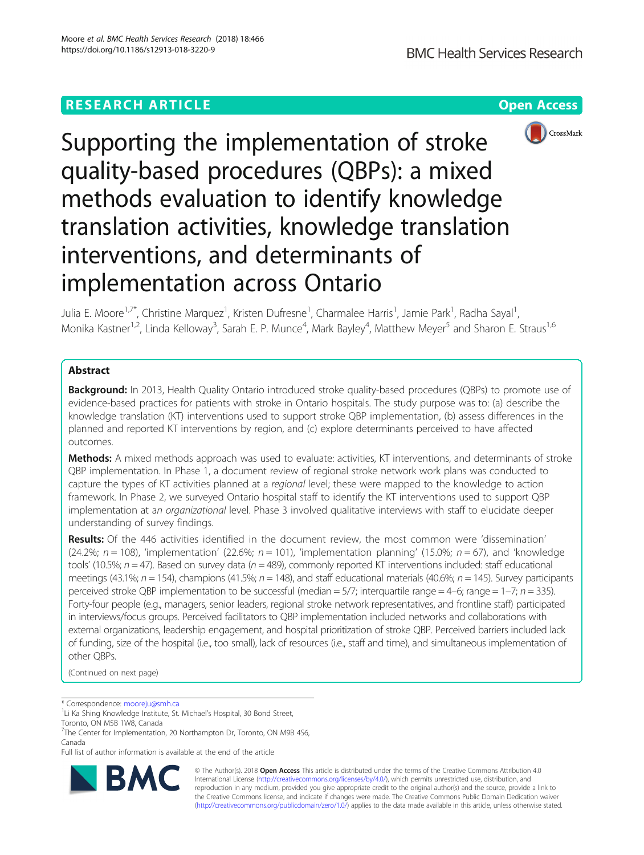# **RESEARCH ARTICLE Example 2014 12:30 The Contract of Contract ACCESS**



Supporting the implementation of stroke quality-based procedures (QBPs): a mixed methods evaluation to identify knowledge translation activities, knowledge translation interventions, and determinants of implementation across Ontario

Julia E. Moore<sup>1,7\*</sup>, Christine Marquez<sup>1</sup>, Kristen Dufresne<sup>1</sup>, Charmalee Harris<sup>1</sup>, Jamie Park<sup>1</sup>, Radha Sayal<sup>1</sup> , Monika Kastner<sup>1,2</sup>, Linda Kelloway<sup>3</sup>, Sarah E. P. Munce<sup>4</sup>, Mark Bayley<sup>4</sup>, Matthew Meyer<sup>5</sup> and Sharon E. Straus<sup>1,6</sup>

## Abstract

**Background:** In 2013, Health Quality Ontario introduced stroke quality-based procedures (QBPs) to promote use of evidence-based practices for patients with stroke in Ontario hospitals. The study purpose was to: (a) describe the knowledge translation (KT) interventions used to support stroke QBP implementation, (b) assess differences in the planned and reported KT interventions by region, and (c) explore determinants perceived to have affected outcomes.

Methods: A mixed methods approach was used to evaluate: activities, KT interventions, and determinants of stroke QBP implementation. In Phase 1, a document review of regional stroke network work plans was conducted to capture the types of KT activities planned at a *regional* level; these were mapped to the knowledge to action framework. In Phase 2, we surveyed Ontario hospital staff to identify the KT interventions used to support QBP implementation at an organizational level. Phase 3 involved qualitative interviews with staff to elucidate deeper understanding of survey findings.

Results: Of the 446 activities identified in the document review, the most common were 'dissemination' (24.2%;  $n = 108$ ), 'implementation' (22.6%;  $n = 101$ ), 'implementation planning' (15.0%;  $n = 67$ ), and 'knowledge tools' (10.5%;  $n = 47$ ). Based on survey data ( $n = 489$ ), commonly reported KT interventions included: staff educational meetings (43.1%;  $n = 154$ ), champions (41.5%;  $n = 148$ ), and staff educational materials (40.6%;  $n = 145$ ). Survey participants perceived stroke QBP implementation to be successful (median  $=$  5/7; interquartile range  $=$  4–6; range  $=$  1–7; n = 335). Forty-four people (e.g., managers, senior leaders, regional stroke network representatives, and frontline staff) participated in interviews/focus groups. Perceived facilitators to QBP implementation included networks and collaborations with external organizations, leadership engagement, and hospital prioritization of stroke QBP. Perceived barriers included lack of funding, size of the hospital (i.e., too small), lack of resources (i.e., staff and time), and simultaneous implementation of other QBPs.

(Continued on next page)

Full list of author information is available at the end of the article



© The Author(s). 2018 **Open Access** This article is distributed under the terms of the Creative Commons Attribution 4.0 International License [\(http://creativecommons.org/licenses/by/4.0/](http://creativecommons.org/licenses/by/4.0/)), which permits unrestricted use, distribution, and reproduction in any medium, provided you give appropriate credit to the original author(s) and the source, provide a link to the Creative Commons license, and indicate if changes were made. The Creative Commons Public Domain Dedication waiver [\(http://creativecommons.org/publicdomain/zero/1.0/](http://creativecommons.org/publicdomain/zero/1.0/)) applies to the data made available in this article, unless otherwise stated.

<sup>\*</sup> Correspondence: [mooreju@smh.ca](mailto:mooreju@smh.ca) <sup>1</sup>

<sup>&</sup>lt;sup>1</sup>Li Ka Shing Knowledge Institute, St. Michael's Hospital, 30 Bond Street,

Toronto, ON M5B 1W8, Canada

<sup>&</sup>lt;sup>7</sup>The Center for Implementation, 20 Northampton Dr, Toronto, ON M9B 4S6, Canada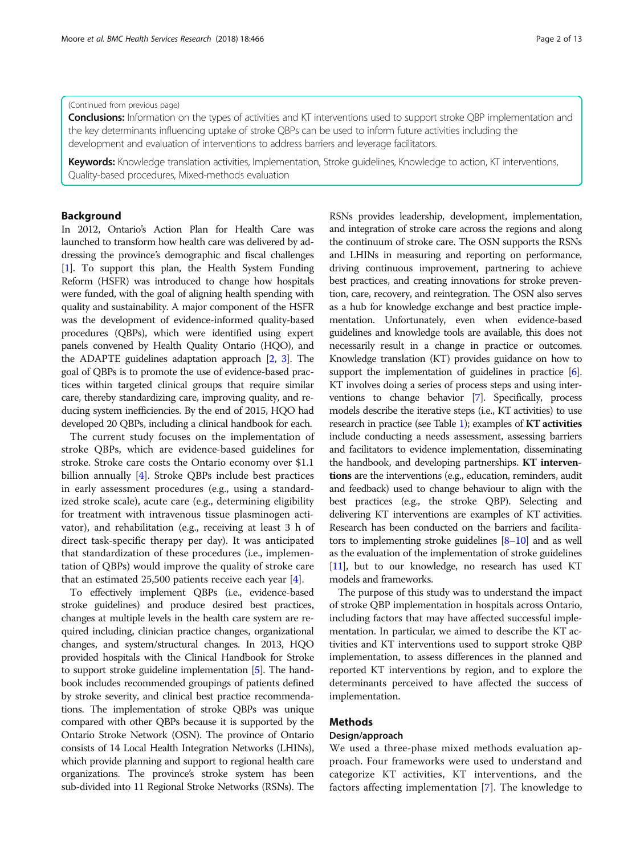#### (Continued from previous page)

**Conclusions:** Information on the types of activities and KT interventions used to support stroke QBP implementation and the key determinants influencing uptake of stroke QBPs can be used to inform future activities including the development and evaluation of interventions to address barriers and leverage facilitators.

Keywords: Knowledge translation activities, Implementation, Stroke guidelines, Knowledge to action, KT interventions, Quality-based procedures, Mixed-methods evaluation

### Background

In 2012, Ontario's Action Plan for Health Care was launched to transform how health care was delivered by addressing the province's demographic and fiscal challenges [[1](#page-11-0)]. To support this plan, the Health System Funding Reform (HSFR) was introduced to change how hospitals were funded, with the goal of aligning health spending with quality and sustainability. A major component of the HSFR was the development of evidence-informed quality-based procedures (QBPs), which were identified using expert panels convened by Health Quality Ontario (HQO), and the ADAPTE guidelines adaptation approach [\[2,](#page-11-0) [3](#page-11-0)]. The goal of QBPs is to promote the use of evidence-based practices within targeted clinical groups that require similar care, thereby standardizing care, improving quality, and reducing system inefficiencies. By the end of 2015, HQO had developed 20 QBPs, including a clinical handbook for each.

The current study focuses on the implementation of stroke QBPs, which are evidence-based guidelines for stroke. Stroke care costs the Ontario economy over \$1.1 billion annually [\[4](#page-11-0)]. Stroke QBPs include best practices in early assessment procedures (e.g., using a standardized stroke scale), acute care (e.g., determining eligibility for treatment with intravenous tissue plasminogen activator), and rehabilitation (e.g., receiving at least 3 h of direct task-specific therapy per day). It was anticipated that standardization of these procedures (i.e., implementation of QBPs) would improve the quality of stroke care that an estimated 25,500 patients receive each year [\[4](#page-11-0)].

To effectively implement QBPs (i.e., evidence-based stroke guidelines) and produce desired best practices, changes at multiple levels in the health care system are required including, clinician practice changes, organizational changes, and system/structural changes. In 2013, HQO provided hospitals with the Clinical Handbook for Stroke to support stroke guideline implementation [[5](#page-11-0)]. The handbook includes recommended groupings of patients defined by stroke severity, and clinical best practice recommendations. The implementation of stroke QBPs was unique compared with other QBPs because it is supported by the Ontario Stroke Network (OSN). The province of Ontario consists of 14 Local Health Integration Networks (LHINs), which provide planning and support to regional health care organizations. The province's stroke system has been sub-divided into 11 Regional Stroke Networks (RSNs). The

RSNs provides leadership, development, implementation, and integration of stroke care across the regions and along the continuum of stroke care. The OSN supports the RSNs and LHINs in measuring and reporting on performance, driving continuous improvement, partnering to achieve best practices, and creating innovations for stroke prevention, care, recovery, and reintegration. The OSN also serves as a hub for knowledge exchange and best practice implementation. Unfortunately, even when evidence-based guidelines and knowledge tools are available, this does not necessarily result in a change in practice or outcomes. Knowledge translation (KT) provides guidance on how to support the implementation of guidelines in practice [[6](#page-11-0)]. KT involves doing a series of process steps and using interventions to change behavior [[7](#page-11-0)]. Specifically, process models describe the iterative steps (i.e., KT activities) to use research in practice (see Table [1\)](#page-2-0); examples of KT activities include conducting a needs assessment, assessing barriers and facilitators to evidence implementation, disseminating the handbook, and developing partnerships. KT interventions are the interventions (e.g., education, reminders, audit and feedback) used to change behaviour to align with the best practices (e.g., the stroke QBP). Selecting and delivering KT interventions are examples of KT activities. Research has been conducted on the barriers and facilitators to implementing stroke guidelines [\[8](#page-11-0)–[10](#page-11-0)] and as well as the evaluation of the implementation of stroke guidelines [[11](#page-11-0)], but to our knowledge, no research has used KT models and frameworks.

The purpose of this study was to understand the impact of stroke QBP implementation in hospitals across Ontario, including factors that may have affected successful implementation. In particular, we aimed to describe the KT activities and KT interventions used to support stroke QBP implementation, to assess differences in the planned and reported KT interventions by region, and to explore the determinants perceived to have affected the success of implementation.

#### Methods

### Design/approach

We used a three-phase mixed methods evaluation approach. Four frameworks were used to understand and categorize KT activities, KT interventions, and the factors affecting implementation [\[7](#page-11-0)]. The knowledge to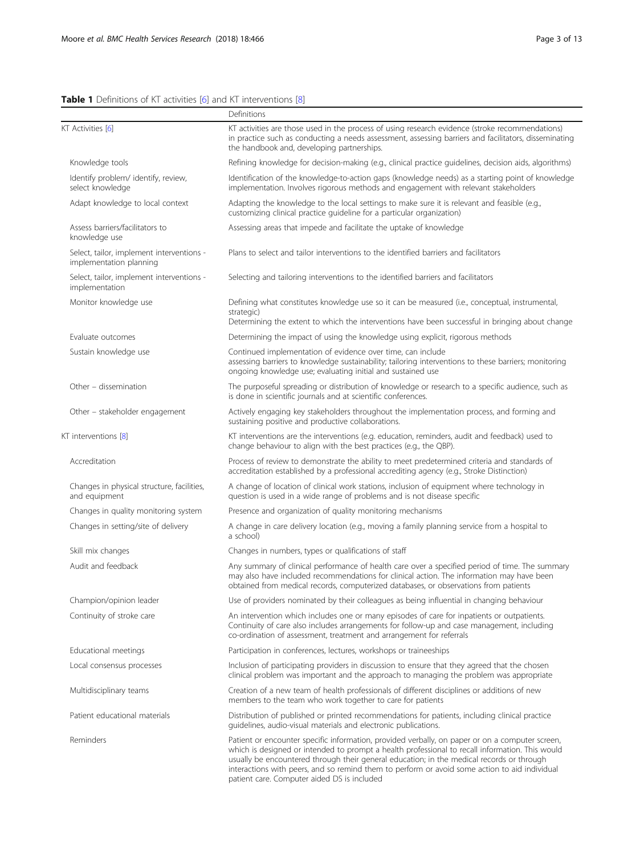## <span id="page-2-0"></span>Table 1 Definitions of KT activities [[6](#page-11-0)] and KT interventions [[8](#page-11-0)]

|                                                                      | Definitions                                                                                                                                                                                                                                                                                                                                                                                                                                     |
|----------------------------------------------------------------------|-------------------------------------------------------------------------------------------------------------------------------------------------------------------------------------------------------------------------------------------------------------------------------------------------------------------------------------------------------------------------------------------------------------------------------------------------|
| KT Activities [6]                                                    | KT activities are those used in the process of using research evidence (stroke recommendations)<br>in practice such as conducting a needs assessment, assessing barriers and facilitators, disseminating<br>the handbook and, developing partnerships.                                                                                                                                                                                          |
| Knowledge tools                                                      | Refining knowledge for decision-making (e.g., clinical practice guidelines, decision aids, algorithms)                                                                                                                                                                                                                                                                                                                                          |
| Identify problem/ identify, review,<br>select knowledge              | Identification of the knowledge-to-action gaps (knowledge needs) as a starting point of knowledge<br>implementation. Involves rigorous methods and engagement with relevant stakeholders                                                                                                                                                                                                                                                        |
| Adapt knowledge to local context                                     | Adapting the knowledge to the local settings to make sure it is relevant and feasible (e.g.,<br>customizing clinical practice guideline for a particular organization)                                                                                                                                                                                                                                                                          |
| Assess barriers/facilitators to<br>knowledge use                     | Assessing areas that impede and facilitate the uptake of knowledge                                                                                                                                                                                                                                                                                                                                                                              |
| Select, tailor, implement interventions -<br>implementation planning | Plans to select and tailor interventions to the identified barriers and facilitators                                                                                                                                                                                                                                                                                                                                                            |
| Select, tailor, implement interventions -<br>implementation          | Selecting and tailoring interventions to the identified barriers and facilitators                                                                                                                                                                                                                                                                                                                                                               |
| Monitor knowledge use                                                | Defining what constitutes knowledge use so it can be measured (i.e., conceptual, instrumental,<br>strategic)<br>Determining the extent to which the interventions have been successful in bringing about change                                                                                                                                                                                                                                 |
| Evaluate outcomes                                                    | Determining the impact of using the knowledge using explicit, rigorous methods                                                                                                                                                                                                                                                                                                                                                                  |
| Sustain knowledge use                                                | Continued implementation of evidence over time, can include<br>assessing barriers to knowledge sustainability; tailoring interventions to these barriers; monitoring<br>ongoing knowledge use; evaluating initial and sustained use                                                                                                                                                                                                             |
| Other - dissemination                                                | The purposeful spreading or distribution of knowledge or research to a specific audience, such as<br>is done in scientific journals and at scientific conferences.                                                                                                                                                                                                                                                                              |
| Other - stakeholder engagement                                       | Actively engaging key stakeholders throughout the implementation process, and forming and<br>sustaining positive and productive collaborations.                                                                                                                                                                                                                                                                                                 |
| KT interventions [8]                                                 | KT interventions are the interventions (e.g. education, reminders, audit and feedback) used to<br>change behaviour to align with the best practices (e.g., the QBP).                                                                                                                                                                                                                                                                            |
| Accreditation                                                        | Process of review to demonstrate the ability to meet predetermined criteria and standards of<br>accreditation established by a professional accrediting agency (e.g., Stroke Distinction)                                                                                                                                                                                                                                                       |
| Changes in physical structure, facilities,<br>and equipment          | A change of location of clinical work stations, inclusion of equipment where technology in<br>question is used in a wide range of problems and is not disease specific                                                                                                                                                                                                                                                                          |
| Changes in quality monitoring system                                 | Presence and organization of quality monitoring mechanisms                                                                                                                                                                                                                                                                                                                                                                                      |
| Changes in setting/site of delivery                                  | A change in care delivery location (e.g., moving a family planning service from a hospital to<br>a school)                                                                                                                                                                                                                                                                                                                                      |
| Skill mix changes                                                    | Changes in numbers, types or qualifications of staff                                                                                                                                                                                                                                                                                                                                                                                            |
| Audit and feedback                                                   | Any summary of clinical performance of health care over a specified period of time. The summary<br>may also have included recommendations for clinical action. The information may have been<br>obtained from medical records, computerized databases, or observations from patients                                                                                                                                                            |
| Champion/opinion leader                                              | Use of providers nominated by their colleagues as being influential in changing behaviour                                                                                                                                                                                                                                                                                                                                                       |
| Continuity of stroke care                                            | An intervention which includes one or many episodes of care for inpatients or outpatients.<br>Continuity of care also includes arrangements for follow-up and case management, including<br>co-ordination of assessment, treatment and arrangement for referrals                                                                                                                                                                                |
| Educational meetings                                                 | Participation in conferences, lectures, workshops or traineeships                                                                                                                                                                                                                                                                                                                                                                               |
| Local consensus processes                                            | Inclusion of participating providers in discussion to ensure that they agreed that the chosen<br>clinical problem was important and the approach to managing the problem was appropriate                                                                                                                                                                                                                                                        |
| Multidisciplinary teams                                              | Creation of a new team of health professionals of different disciplines or additions of new<br>members to the team who work together to care for patients                                                                                                                                                                                                                                                                                       |
| Patient educational materials                                        | Distribution of published or printed recommendations for patients, including clinical practice<br>guidelines, audio-visual materials and electronic publications.                                                                                                                                                                                                                                                                               |
| Reminders                                                            | Patient or encounter specific information, provided verbally, on paper or on a computer screen,<br>which is designed or intended to prompt a health professional to recall information. This would<br>usually be encountered through their general education; in the medical records or through<br>interactions with peers, and so remind them to perform or avoid some action to aid individual<br>patient care. Computer aided DS is included |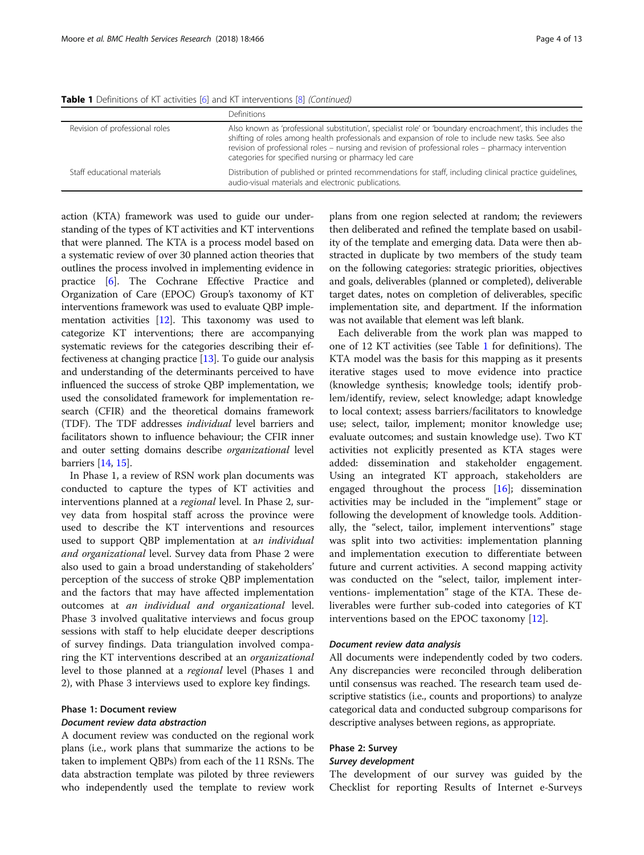Table 1 Definitions of KT activities [[6](#page-11-0)] and KT interventions [[8](#page-11-0)] (Continued)

|                                | Definitions                                                                                                                                                                                                                                                                                                                                                                    |
|--------------------------------|--------------------------------------------------------------------------------------------------------------------------------------------------------------------------------------------------------------------------------------------------------------------------------------------------------------------------------------------------------------------------------|
| Revision of professional roles | Also known as 'professional substitution', specialist role' or 'boundary encroachment', this includes the<br>shifting of roles among health professionals and expansion of role to include new tasks. See also<br>revision of professional roles – nursing and revision of professional roles – pharmacy intervention<br>categories for specified nursing or pharmacy led care |
| Staff educational materials    | Distribution of published or printed recommendations for staff, including clinical practice quidelines,<br>audio-visual materials and electronic publications.                                                                                                                                                                                                                 |

action (KTA) framework was used to guide our understanding of the types of KT activities and KT interventions that were planned. The KTA is a process model based on a systematic review of over 30 planned action theories that outlines the process involved in implementing evidence in practice [\[6](#page-11-0)]. The Cochrane Effective Practice and Organization of Care (EPOC) Group's taxonomy of KT interventions framework was used to evaluate QBP implementation activities [\[12\]](#page-11-0). This taxonomy was used to categorize KT interventions; there are accompanying systematic reviews for the categories describing their effectiveness at changing practice [[13](#page-11-0)]. To guide our analysis and understanding of the determinants perceived to have influenced the success of stroke QBP implementation, we used the consolidated framework for implementation research (CFIR) and the theoretical domains framework (TDF). The TDF addresses individual level barriers and facilitators shown to influence behaviour; the CFIR inner and outer setting domains describe organizational level barriers [\[14,](#page-11-0) [15\]](#page-11-0).

In Phase 1, a review of RSN work plan documents was conducted to capture the types of KT activities and interventions planned at a *regional* level. In Phase 2, survey data from hospital staff across the province were used to describe the KT interventions and resources used to support QBP implementation at an individual and organizational level. Survey data from Phase 2 were also used to gain a broad understanding of stakeholders' perception of the success of stroke QBP implementation and the factors that may have affected implementation outcomes at an individual and organizational level. Phase 3 involved qualitative interviews and focus group sessions with staff to help elucidate deeper descriptions of survey findings. Data triangulation involved comparing the KT interventions described at an organizational level to those planned at a regional level (Phases 1 and 2), with Phase 3 interviews used to explore key findings.

### Phase 1: Document review

### Document review data abstraction

A document review was conducted on the regional work plans (i.e., work plans that summarize the actions to be taken to implement QBPs) from each of the 11 RSNs. The data abstraction template was piloted by three reviewers who independently used the template to review work

plans from one region selected at random; the reviewers then deliberated and refined the template based on usability of the template and emerging data. Data were then abstracted in duplicate by two members of the study team on the following categories: strategic priorities, objectives and goals, deliverables (planned or completed), deliverable target dates, notes on completion of deliverables, specific implementation site, and department. If the information was not available that element was left blank.

Each deliverable from the work plan was mapped to one of 12 KT activities (see Table [1](#page-2-0) for definitions). The KTA model was the basis for this mapping as it presents iterative stages used to move evidence into practice (knowledge synthesis; knowledge tools; identify problem/identify, review, select knowledge; adapt knowledge to local context; assess barriers/facilitators to knowledge use; select, tailor, implement; monitor knowledge use; evaluate outcomes; and sustain knowledge use). Two KT activities not explicitly presented as KTA stages were added: dissemination and stakeholder engagement. Using an integrated KT approach, stakeholders are engaged throughout the process [[16](#page-11-0)]; dissemination activities may be included in the "implement" stage or following the development of knowledge tools. Additionally, the "select, tailor, implement interventions" stage was split into two activities: implementation planning and implementation execution to differentiate between future and current activities. A second mapping activity was conducted on the "select, tailor, implement interventions- implementation" stage of the KTA. These deliverables were further sub-coded into categories of KT interventions based on the EPOC taxonomy [[12\]](#page-11-0).

#### Document review data analysis

All documents were independently coded by two coders. Any discrepancies were reconciled through deliberation until consensus was reached. The research team used descriptive statistics (i.e., counts and proportions) to analyze categorical data and conducted subgroup comparisons for descriptive analyses between regions, as appropriate.

### Phase 2: Survey

#### Survey development

The development of our survey was guided by the Checklist for reporting Results of Internet e-Surveys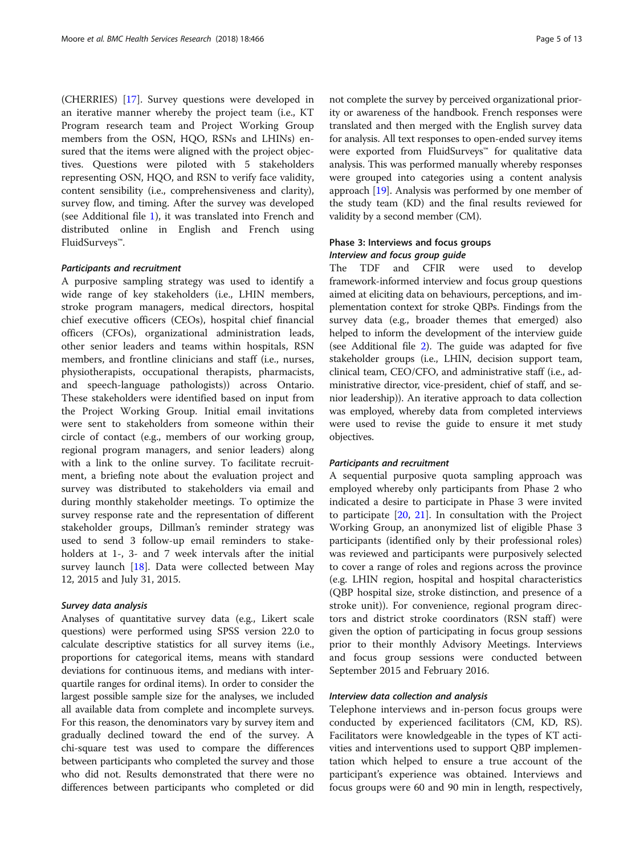(CHERRIES) [[17\]](#page-11-0). Survey questions were developed in an iterative manner whereby the project team (i.e., KT Program research team and Project Working Group members from the OSN, HQO, RSNs and LHINs) ensured that the items were aligned with the project objectives. Questions were piloted with 5 stakeholders representing OSN, HQO, and RSN to verify face validity, content sensibility (i.e., comprehensiveness and clarity), survey flow, and timing. After the survey was developed (see Additional file [1](#page-10-0)), it was translated into French and distributed online in English and French using FluidSurveys™.

#### Participants and recruitment

A purposive sampling strategy was used to identify a wide range of key stakeholders (i.e., LHIN members, stroke program managers, medical directors, hospital chief executive officers (CEOs), hospital chief financial officers (CFOs), organizational administration leads, other senior leaders and teams within hospitals, RSN members, and frontline clinicians and staff (i.e., nurses, physiotherapists, occupational therapists, pharmacists, and speech-language pathologists)) across Ontario. These stakeholders were identified based on input from the Project Working Group. Initial email invitations were sent to stakeholders from someone within their circle of contact (e.g., members of our working group, regional program managers, and senior leaders) along with a link to the online survey. To facilitate recruitment, a briefing note about the evaluation project and survey was distributed to stakeholders via email and during monthly stakeholder meetings. To optimize the survey response rate and the representation of different stakeholder groups, Dillman's reminder strategy was used to send 3 follow-up email reminders to stakeholders at 1-, 3- and 7 week intervals after the initial survey launch [[18\]](#page-11-0). Data were collected between May 12, 2015 and July 31, 2015.

#### Survey data analysis

Analyses of quantitative survey data (e.g., Likert scale questions) were performed using SPSS version 22.0 to calculate descriptive statistics for all survey items (i.e., proportions for categorical items, means with standard deviations for continuous items, and medians with interquartile ranges for ordinal items). In order to consider the largest possible sample size for the analyses, we included all available data from complete and incomplete surveys. For this reason, the denominators vary by survey item and gradually declined toward the end of the survey. A chi-square test was used to compare the differences between participants who completed the survey and those who did not. Results demonstrated that there were no differences between participants who completed or did

not complete the survey by perceived organizational priority or awareness of the handbook. French responses were translated and then merged with the English survey data for analysis. All text responses to open-ended survey items were exported from FluidSurveys™ for qualitative data analysis. This was performed manually whereby responses were grouped into categories using a content analysis approach [[19](#page-11-0)]. Analysis was performed by one member of the study team (KD) and the final results reviewed for validity by a second member (CM).

### Phase 3: Interviews and focus groups Interview and focus group guide

The TDF and CFIR were used to develop framework-informed interview and focus group questions aimed at eliciting data on behaviours, perceptions, and implementation context for stroke QBPs. Findings from the survey data (e.g., broader themes that emerged) also helped to inform the development of the interview guide (see Additional file [2](#page-10-0)). The guide was adapted for five stakeholder groups (i.e., LHIN, decision support team, clinical team, CEO/CFO, and administrative staff (i.e., administrative director, vice-president, chief of staff, and senior leadership)). An iterative approach to data collection was employed, whereby data from completed interviews were used to revise the guide to ensure it met study objectives.

#### Participants and recruitment

A sequential purposive quota sampling approach was employed whereby only participants from Phase 2 who indicated a desire to participate in Phase 3 were invited to participate [[20,](#page-11-0) [21\]](#page-11-0). In consultation with the Project Working Group, an anonymized list of eligible Phase 3 participants (identified only by their professional roles) was reviewed and participants were purposively selected to cover a range of roles and regions across the province (e.g. LHIN region, hospital and hospital characteristics (QBP hospital size, stroke distinction, and presence of a stroke unit)). For convenience, regional program directors and district stroke coordinators (RSN staff) were given the option of participating in focus group sessions prior to their monthly Advisory Meetings. Interviews and focus group sessions were conducted between September 2015 and February 2016.

#### Interview data collection and analysis

Telephone interviews and in-person focus groups were conducted by experienced facilitators (CM, KD, RS). Facilitators were knowledgeable in the types of KT activities and interventions used to support QBP implementation which helped to ensure a true account of the participant's experience was obtained. Interviews and focus groups were 60 and 90 min in length, respectively,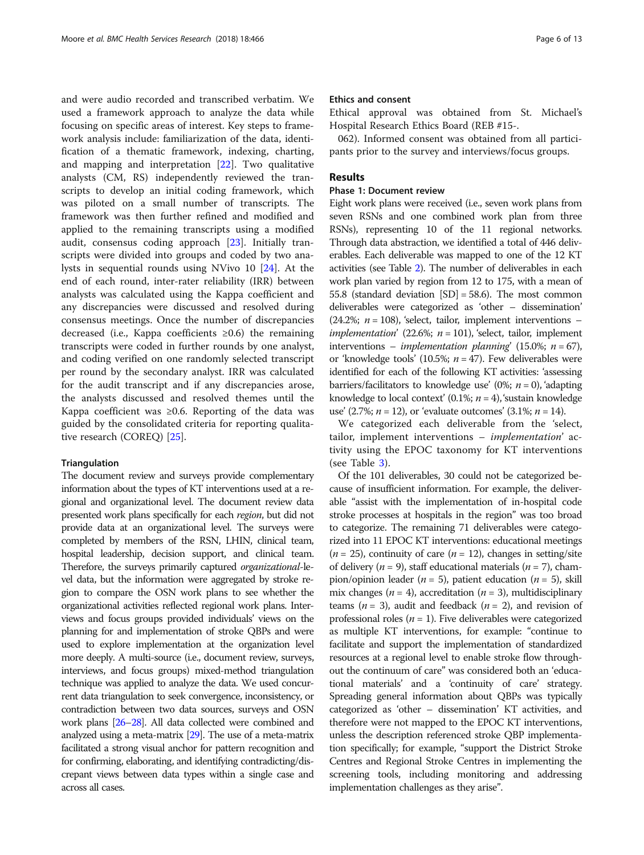and were audio recorded and transcribed verbatim. We used a framework approach to analyze the data while focusing on specific areas of interest. Key steps to framework analysis include: familiarization of the data, identification of a thematic framework, indexing, charting, and mapping and interpretation [[22\]](#page-11-0). Two qualitative analysts (CM, RS) independently reviewed the transcripts to develop an initial coding framework, which was piloted on a small number of transcripts. The framework was then further refined and modified and applied to the remaining transcripts using a modified audit, consensus coding approach [[23](#page-11-0)]. Initially transcripts were divided into groups and coded by two analysts in sequential rounds using NVivo 10 [[24\]](#page-11-0). At the end of each round, inter-rater reliability (IRR) between analysts was calculated using the Kappa coefficient and any discrepancies were discussed and resolved during consensus meetings. Once the number of discrepancies decreased (i.e., Kappa coefficients ≥0.6) the remaining transcripts were coded in further rounds by one analyst, and coding verified on one randomly selected transcript per round by the secondary analyst. IRR was calculated for the audit transcript and if any discrepancies arose, the analysts discussed and resolved themes until the Kappa coefficient was ≥0.6. Reporting of the data was guided by the consolidated criteria for reporting qualitative research (COREQ) [\[25](#page-11-0)].

#### Triangulation

The document review and surveys provide complementary information about the types of KT interventions used at a regional and organizational level. The document review data presented work plans specifically for each *region*, but did not provide data at an organizational level. The surveys were completed by members of the RSN, LHIN, clinical team, hospital leadership, decision support, and clinical team. Therefore, the surveys primarily captured organizational-level data, but the information were aggregated by stroke region to compare the OSN work plans to see whether the organizational activities reflected regional work plans. Interviews and focus groups provided individuals' views on the planning for and implementation of stroke QBPs and were used to explore implementation at the organization level more deeply. A multi-source (i.e., document review, surveys, interviews, and focus groups) mixed-method triangulation technique was applied to analyze the data. We used concurrent data triangulation to seek convergence, inconsistency, or contradiction between two data sources, surveys and OSN work plans [[26](#page-11-0)–[28\]](#page-12-0). All data collected were combined and analyzed using a meta-matrix [\[29\]](#page-12-0). The use of a meta-matrix facilitated a strong visual anchor for pattern recognition and for confirming, elaborating, and identifying contradicting/discrepant views between data types within a single case and across all cases.

### Ethics and consent

Ethical approval was obtained from St. Michael's Hospital Research Ethics Board (REB #15-.

062). Informed consent was obtained from all participants prior to the survey and interviews/focus groups.

### Results

### Phase 1: Document review

Eight work plans were received (i.e., seven work plans from seven RSNs and one combined work plan from three RSNs), representing 10 of the 11 regional networks. Through data abstraction, we identified a total of 446 deliverables. Each deliverable was mapped to one of the 12 KT activities (see Table [2\)](#page-6-0). The number of deliverables in each work plan varied by region from 12 to 175, with a mean of 55.8 (standard deviation [SD] = 58.6). The most common deliverables were categorized as 'other – dissemination' (24.2%;  $n = 108$ ), 'select, tailor, implement interventions – *implementation'* (22.6%;  $n = 101$ ), 'select, tailor, implement interventions – *implementation planning*' (15.0%;  $n = 67$ ), or 'knowledge tools' (10.5%;  $n = 47$ ). Few deliverables were identified for each of the following KT activities: 'assessing barriers/facilitators to knowledge use' (0%;  $n = 0$ ), 'adapting knowledge to local context'  $(0.1\%; n = 4)$ , 'sustain knowledge use' (2.7%;  $n = 12$ ), or 'evaluate outcomes' (3.1%;  $n = 14$ ).

We categorized each deliverable from the 'select, tailor, implement interventions – implementation' activity using the EPOC taxonomy for KT interventions (see Table [3\)](#page-6-0).

Of the 101 deliverables, 30 could not be categorized because of insufficient information. For example, the deliverable "assist with the implementation of in-hospital code stroke processes at hospitals in the region" was too broad to categorize. The remaining 71 deliverables were categorized into 11 EPOC KT interventions: educational meetings ( $n = 25$ ), continuity of care ( $n = 12$ ), changes in setting/site of delivery ( $n = 9$ ), staff educational materials ( $n = 7$ ), champion/opinion leader ( $n = 5$ ), patient education ( $n = 5$ ), skill mix changes ( $n = 4$ ), accreditation ( $n = 3$ ), multidisciplinary teams ( $n = 3$ ), audit and feedback ( $n = 2$ ), and revision of professional roles ( $n = 1$ ). Five deliverables were categorized as multiple KT interventions, for example: "continue to facilitate and support the implementation of standardized resources at a regional level to enable stroke flow throughout the continuum of care" was considered both an 'educational materials' and a 'continuity of care' strategy. Spreading general information about QBPs was typically categorized as 'other – dissemination' KT activities, and therefore were not mapped to the EPOC KT interventions, unless the description referenced stroke QBP implementation specifically; for example, "support the District Stroke Centres and Regional Stroke Centres in implementing the screening tools, including monitoring and addressing implementation challenges as they arise".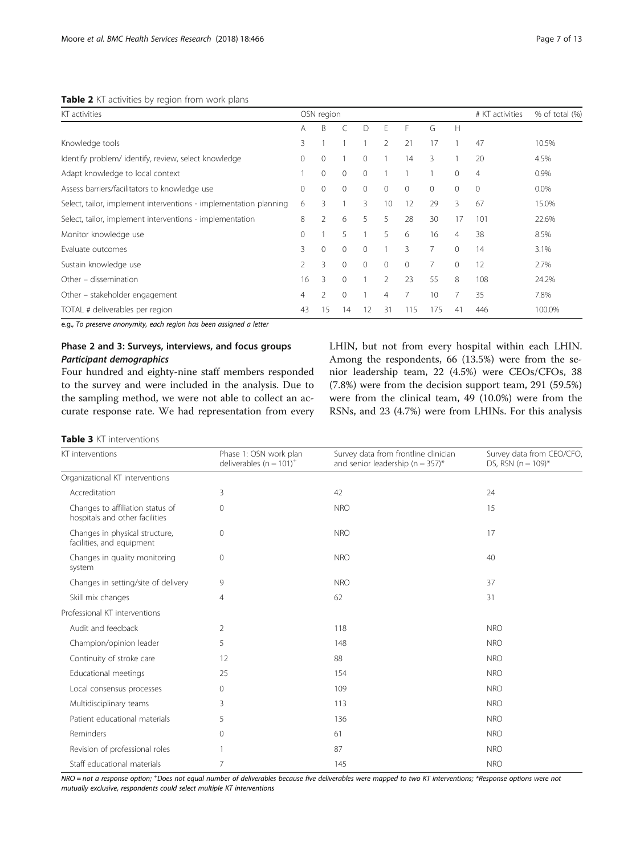#### <span id="page-6-0"></span>Table 2 KT activities by region from work plans

| KT activities                                                     | OSN region    |              |              |              |                |              |              |          | # KT activities | % of total (%) |  |
|-------------------------------------------------------------------|---------------|--------------|--------------|--------------|----------------|--------------|--------------|----------|-----------------|----------------|--|
|                                                                   | A             | B            |              | $\bigcap$    | E              | F            | G            | H        |                 |                |  |
| Knowledge tools                                                   | 3             |              |              |              | $\overline{2}$ | 21           | 17           |          | 47              | 10.5%          |  |
| Identify problem/identify, review, select knowledge               | $\Omega$      | $\Omega$     |              | $\mathbf{0}$ |                | 14           | 3            |          | 20              | 4.5%           |  |
| Adapt knowledge to local context                                  |               | $\mathbf{0}$ | $\mathbf{0}$ | $\mathbf{0}$ |                |              |              | $\Omega$ | $\overline{4}$  | 0.9%           |  |
| Assess barriers/facilitators to knowledge use                     | $\mathbf{0}$  | $\mathbf{0}$ | $\mathbf{0}$ | $\mathbf{0}$ | $\mathbf{0}$   | $\mathbf{0}$ | $\mathbf{0}$ | $\circ$  | $\overline{0}$  | 0.0%           |  |
| Select, tailor, implement interventions - implementation planning |               | 3            |              | 3            | 10             | 12           | 29           | 3        | 67              | 15.0%          |  |
| Select, tailor, implement interventions - implementation          |               | 2            | 6            | 5            | 5              | 28           | 30           | 17       | 101             | 22.6%          |  |
| Monitor knowledge use                                             |               |              | 5            |              | 5              | 6            | 16           | 4        | 38              | 8.5%           |  |
| Evaluate outcomes                                                 | 3             | $\mathbf{0}$ | $\Omega$     | $\Omega$     |                | 3            | 7            | $\Omega$ | 14              | 3.1%           |  |
| Sustain knowledge use                                             | $\mathcal{P}$ | 3            | $\mathbf{0}$ | $\mathbf{0}$ | $\mathbf{0}$   | $\mathbf{0}$ | 7            | $\Omega$ | 12              | 2.7%           |  |
| Other - dissemination                                             | 16            | 3            | $\Omega$     |              | 2              | 23           | 55           | 8        | 108             | 24.2%          |  |
| Other – stakeholder engagement                                    | 4             | 2            | $\mathbf{0}$ |              | 4              | 7            | 10           |          | 35              | 7.8%           |  |
| TOTAL # deliverables per region                                   | 43            | 15           | 14           | 12           | 31             | 115          | 175          | 41       | 446             | 100.0%         |  |

e.g., To preserve anonymity, each region has been assigned a letter

### Phase 2 and 3: Surveys, interviews, and focus groups Participant demographics

Four hundred and eighty-nine staff members responded to the survey and were included in the analysis. Due to the sampling method, we were not able to collect an accurate response rate. We had representation from every LHIN, but not from every hospital within each LHIN. Among the respondents, 66 (13.5%) were from the senior leadership team, 22 (4.5%) were CEOs/CFOs, 38 (7.8%) were from the decision support team, 291 (59.5%) were from the clinical team, 49 (10.0%) were from the RSNs, and 23 (4.7%) were from LHINs. For this analysis

#### Table 3 KT interventions

| KT interventions                                                   | Phase 1: OSN work plan<br>deliverables $(n = 101)^+$ | Survey data from frontline clinician<br>and senior leadership ( $n = 357$ )* | Survey data from CEO/CFO,<br>DS, RSN $(n = 109)^*$ |
|--------------------------------------------------------------------|------------------------------------------------------|------------------------------------------------------------------------------|----------------------------------------------------|
| Organizational KT interventions                                    |                                                      |                                                                              |                                                    |
| Accreditation                                                      | 3                                                    | 42                                                                           | 24                                                 |
| Changes to affiliation status of<br>hospitals and other facilities | 0                                                    | <b>NRO</b>                                                                   | 15                                                 |
| Changes in physical structure,<br>facilities, and equipment        | 0                                                    | <b>NRO</b>                                                                   | 17                                                 |
| Changes in quality monitoring<br>system                            | $\mathbf{0}$                                         | <b>NRO</b>                                                                   | 40                                                 |
| Changes in setting/site of delivery                                | 9                                                    | <b>NRO</b>                                                                   | 37                                                 |
| Skill mix changes                                                  | 4                                                    | 62                                                                           | 31                                                 |
| Professional KT interventions                                      |                                                      |                                                                              |                                                    |
| Audit and feedback                                                 | $\overline{2}$                                       | 118                                                                          | <b>NRO</b>                                         |
| Champion/opinion leader                                            | 5                                                    | 148                                                                          | <b>NRO</b>                                         |
| Continuity of stroke care                                          | 12                                                   | 88                                                                           | <b>NRO</b>                                         |
| Educational meetings                                               | 25                                                   | 154                                                                          | <b>NRO</b>                                         |
| Local consensus processes                                          | $\mathbf{0}$                                         | 109                                                                          | <b>NRO</b>                                         |
| Multidisciplinary teams                                            | 3                                                    | 113                                                                          | <b>NRO</b>                                         |
| Patient educational materials                                      | 5                                                    | 136                                                                          | <b>NRO</b>                                         |
| Reminders                                                          | $\mathbf{0}$                                         | 61                                                                           | <b>NRO</b>                                         |
| Revision of professional roles                                     |                                                      | 87                                                                           | <b>NRO</b>                                         |
| Staff educational materials                                        | 7                                                    | 145                                                                          | <b>NRO</b>                                         |

NRO = not a response option; <sup>+</sup>Does not equal number of deliverables because five deliverables were mapped to two KT interventions; \*Response options were not mutually exclusive, respondents could select multiple KT interventions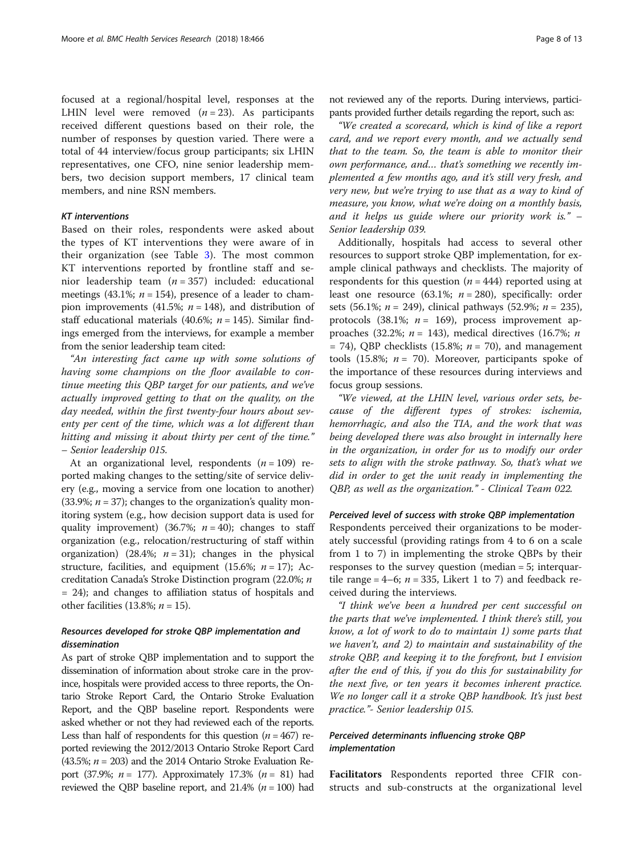focused at a regional/hospital level, responses at the LHIN level were removed  $(n = 23)$ . As participants received different questions based on their role, the number of responses by question varied. There were a total of 44 interview/focus group participants; six LHIN representatives, one CFO, nine senior leadership members, two decision support members, 17 clinical team members, and nine RSN members.

### KT interventions

Based on their roles, respondents were asked about the types of KT interventions they were aware of in their organization (see Table [3](#page-6-0)). The most common KT interventions reported by frontline staff and senior leadership team  $(n = 357)$  included: educational meetings (43.1%;  $n = 154$ ), presence of a leader to champion improvements (41.5%;  $n = 148$ ), and distribution of staff educational materials (40.6%;  $n = 145$ ). Similar findings emerged from the interviews, for example a member from the senior leadership team cited:

"An interesting fact came up with some solutions of having some champions on the floor available to continue meeting this QBP target for our patients, and we've actually improved getting to that on the quality, on the day needed, within the first twenty-four hours about seventy per cent of the time, which was a lot different than hitting and missing it about thirty per cent of the time." – Senior leadership 015.

At an organizational level, respondents  $(n = 109)$  reported making changes to the setting/site of service delivery (e.g., moving a service from one location to another) (33.9%;  $n = 37$ ); changes to the organization's quality monitoring system (e.g., how decision support data is used for quality improvement) (36.7%;  $n = 40$ ); changes to staff organization (e.g., relocation/restructuring of staff within organization) (28.4%;  $n = 31$ ); changes in the physical structure, facilities, and equipment (15.6%;  $n = 17$ ); Accreditation Canada's Stroke Distinction program (22.0%; n = 24); and changes to affiliation status of hospitals and other facilities (13.8%;  $n = 15$ ).

### Resources developed for stroke QBP implementation and dissemination

As part of stroke QBP implementation and to support the dissemination of information about stroke care in the province, hospitals were provided access to three reports, the Ontario Stroke Report Card, the Ontario Stroke Evaluation Report, and the QBP baseline report. Respondents were asked whether or not they had reviewed each of the reports. Less than half of respondents for this question ( $n = 467$ ) reported reviewing the 2012/2013 Ontario Stroke Report Card (43.5%;  $n = 203$ ) and the 2014 Ontario Stroke Evaluation Report (37.9%;  $n = 177$ ). Approximately 17.3% ( $n = 81$ ) had reviewed the QBP baseline report, and 21.4% ( $n = 100$ ) had

not reviewed any of the reports. During interviews, participants provided further details regarding the report, such as:

"We created a scorecard, which is kind of like a report card, and we report every month, and we actually send that to the team. So, the team is able to monitor their own performance, and… that's something we recently implemented a few months ago, and it's still very fresh, and very new, but we're trying to use that as a way to kind of measure, you know, what we're doing on a monthly basis, and it helps us guide where our priority work is."  $-$ Senior leadership 039.

Additionally, hospitals had access to several other resources to support stroke QBP implementation, for example clinical pathways and checklists. The majority of respondents for this question ( $n = 444$ ) reported using at least one resource (63.1%;  $n = 280$ ), specifically: order sets (56.1%;  $n = 249$ ), clinical pathways (52.9%;  $n = 235$ ), protocols (38.1%;  $n = 169$ ), process improvement approaches (32.2%;  $n = 143$ ), medical directives (16.7%; *n*  $=$  74), QBP checklists (15.8%;  $n = 70$ ), and management tools (15.8%;  $n = 70$ ). Moreover, participants spoke of the importance of these resources during interviews and focus group sessions.

"We viewed, at the LHIN level, various order sets, because of the different types of strokes: ischemia, hemorrhagic, and also the TIA, and the work that was being developed there was also brought in internally here in the organization, in order for us to modify our order sets to align with the stroke pathway. So, that's what we did in order to get the unit ready in implementing the QBP, as well as the organization." - Clinical Team 022.

#### Perceived level of success with stroke QBP implementation

Respondents perceived their organizations to be moderately successful (providing ratings from 4 to 6 on a scale from 1 to 7) in implementing the stroke QBPs by their responses to the survey question (median = 5; interquartile range = 4–6;  $n = 335$ , Likert 1 to 7) and feedback received during the interviews.

"I think we've been a hundred per cent successful on the parts that we've implemented. I think there's still, you know, a lot of work to do to maintain 1) some parts that we haven't, and 2) to maintain and sustainability of the stroke QBP, and keeping it to the forefront, but I envision after the end of this, if you do this for sustainability for the next five, or ten years it becomes inherent practice. We no longer call it a stroke QBP handbook. It's just best practice."- Senior leadership 015.

### Perceived determinants influencing stroke QBP implementation

Facilitators Respondents reported three CFIR constructs and sub-constructs at the organizational level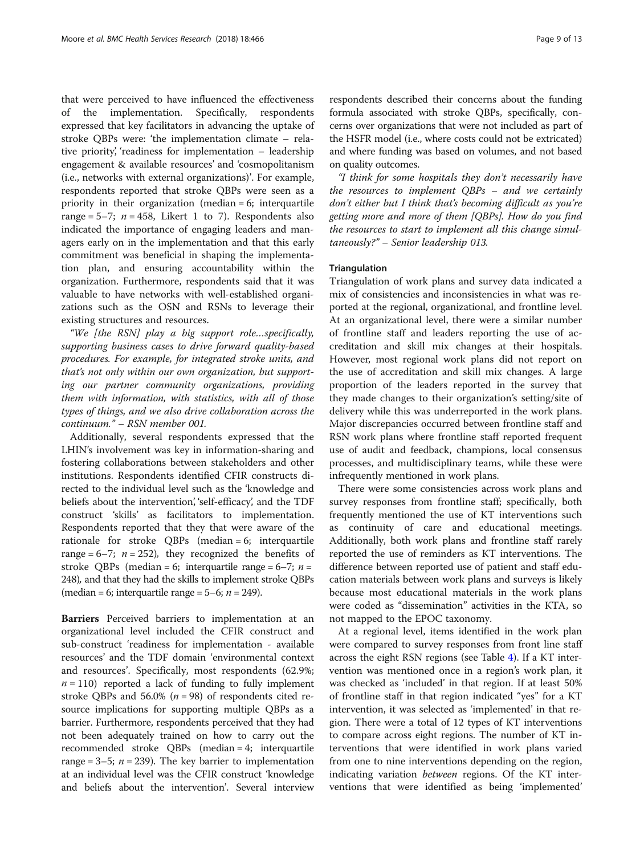that were perceived to have influenced the effectiveness of the implementation. Specifically, respondents expressed that key facilitators in advancing the uptake of stroke QBPs were: 'the implementation climate – relative priority', 'readiness for implementation – leadership engagement & available resources' and 'cosmopolitanism (i.e., networks with external organizations)'. For example, respondents reported that stroke QBPs were seen as a priority in their organization (median = 6; interquartile range =  $5-7$ ;  $n = 458$ , Likert 1 to 7). Respondents also indicated the importance of engaging leaders and managers early on in the implementation and that this early commitment was beneficial in shaping the implementation plan, and ensuring accountability within the organization. Furthermore, respondents said that it was valuable to have networks with well-established organizations such as the OSN and RSNs to leverage their existing structures and resources.

"We [the RSN] play a big support role…specifically, supporting business cases to drive forward quality-based procedures. For example, for integrated stroke units, and that's not only within our own organization, but supporting our partner community organizations, providing them with information, with statistics, with all of those types of things, and we also drive collaboration across the continuum." – RSN member 001.

Additionally, several respondents expressed that the LHIN's involvement was key in information-sharing and fostering collaborations between stakeholders and other institutions. Respondents identified CFIR constructs directed to the individual level such as the 'knowledge and beliefs about the intervention', 'self-efficacy', and the TDF construct 'skills' as facilitators to implementation. Respondents reported that they that were aware of the rationale for stroke QBPs (median = 6; interquartile range =  $6-7$ ;  $n = 252$ ), they recognized the benefits of stroke QBPs (median = 6; interquartile range =  $6-7$ ;  $n =$ 248), and that they had the skills to implement stroke QBPs (median = 6; interquartile range =  $5-6$ ;  $n = 249$ ).

Barriers Perceived barriers to implementation at an organizational level included the CFIR construct and sub-construct 'readiness for implementation - available resources' and the TDF domain 'environmental context and resources'. Specifically, most respondents (62.9%;  $n = 110$ ) reported a lack of funding to fully implement stroke QBPs and 56.0% ( $n = 98$ ) of respondents cited resource implications for supporting multiple QBPs as a barrier. Furthermore, respondents perceived that they had not been adequately trained on how to carry out the recommended stroke QBPs (median = 4; interquartile range = 3–5;  $n = 239$ ). The key barrier to implementation at an individual level was the CFIR construct 'knowledge and beliefs about the intervention'. Several interview respondents described their concerns about the funding formula associated with stroke QBPs, specifically, concerns over organizations that were not included as part of the HSFR model (i.e., where costs could not be extricated) and where funding was based on volumes, and not based on quality outcomes.

"I think for some hospitals they don't necessarily have the resources to implement QBPs – and we certainly don't either but I think that's becoming difficult as you're getting more and more of them [QBPs]. How do you find the resources to start to implement all this change simultaneously?" – Senior leadership 013.

### **Triangulation**

Triangulation of work plans and survey data indicated a mix of consistencies and inconsistencies in what was reported at the regional, organizational, and frontline level. At an organizational level, there were a similar number of frontline staff and leaders reporting the use of accreditation and skill mix changes at their hospitals. However, most regional work plans did not report on the use of accreditation and skill mix changes. A large proportion of the leaders reported in the survey that they made changes to their organization's setting/site of delivery while this was underreported in the work plans. Major discrepancies occurred between frontline staff and RSN work plans where frontline staff reported frequent use of audit and feedback, champions, local consensus processes, and multidisciplinary teams, while these were infrequently mentioned in work plans.

There were some consistencies across work plans and survey responses from frontline staff; specifically, both frequently mentioned the use of KT interventions such as continuity of care and educational meetings. Additionally, both work plans and frontline staff rarely reported the use of reminders as KT interventions. The difference between reported use of patient and staff education materials between work plans and surveys is likely because most educational materials in the work plans were coded as "dissemination" activities in the KTA, so not mapped to the EPOC taxonomy.

At a regional level, items identified in the work plan were compared to survey responses from front line staff across the eight RSN regions (see Table [4\)](#page-9-0). If a KT intervention was mentioned once in a region's work plan, it was checked as 'included' in that region. If at least 50% of frontline staff in that region indicated "yes" for a KT intervention, it was selected as 'implemented' in that region. There were a total of 12 types of KT interventions to compare across eight regions. The number of KT interventions that were identified in work plans varied from one to nine interventions depending on the region, indicating variation between regions. Of the KT interventions that were identified as being 'implemented'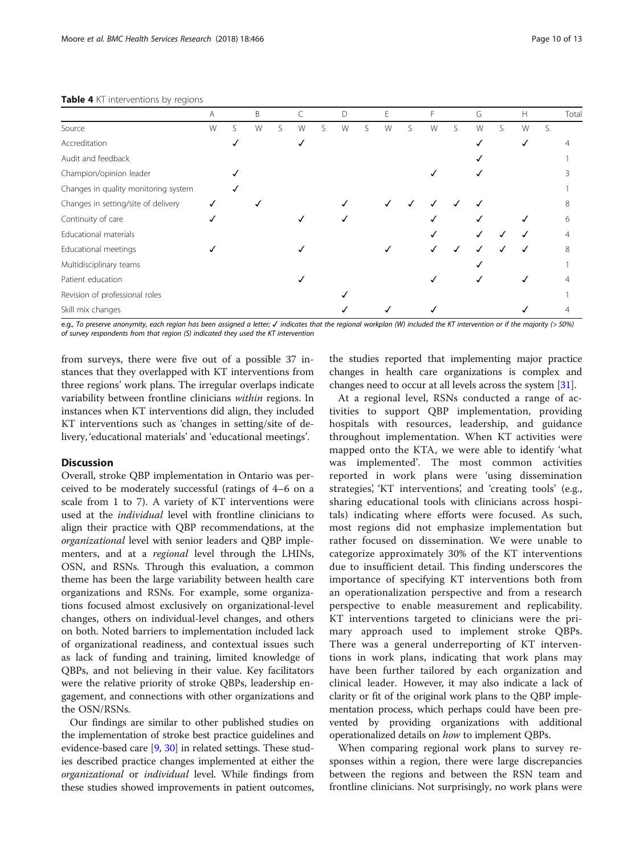<span id="page-9-0"></span>

|                                      | A | B |   | C |   | D |   | E |   | F |   | G | H |   | Total |
|--------------------------------------|---|---|---|---|---|---|---|---|---|---|---|---|---|---|-------|
| Source                               | W | W | S | W | S | W | ς | W | S | W | S | W | W | S |       |
| Accreditation                        |   |   |   |   |   |   |   |   |   |   |   |   |   |   |       |
| Audit and feedback                   |   |   |   |   |   |   |   |   |   |   |   |   |   |   |       |
| Champion/opinion leader              |   |   |   |   |   |   |   |   |   |   |   |   |   |   |       |
| Changes in quality monitoring system |   |   |   |   |   |   |   |   |   |   |   |   |   |   |       |
| Changes in setting/site of delivery  |   |   |   |   |   |   |   |   |   |   |   |   |   |   |       |
| Continuity of care                   |   |   |   |   |   |   |   |   |   |   |   |   |   |   | 6     |
| Educational materials                |   |   |   |   |   |   |   |   |   |   |   |   |   |   |       |
| Educational meetings                 |   |   |   |   |   |   |   |   |   |   |   |   |   |   | 8     |
| Multidisciplinary teams              |   |   |   |   |   |   |   |   |   |   |   |   |   |   |       |
| Patient education                    |   |   |   |   |   |   |   |   |   |   |   |   |   |   |       |
| Revision of professional roles       |   |   |   |   |   |   |   |   |   |   |   |   |   |   |       |
| Skill mix changes                    |   |   |   |   |   |   |   |   |   |   |   |   |   |   |       |

e.g., To preserve anonymity, each region has been assigned a letter; √ indicates that the regional workplan (W) included the KT intervention or if the majority (> 50%) of survey respondents from that region (S) indicated they used the KT intervention

from surveys, there were five out of a possible 37 instances that they overlapped with KT interventions from three regions' work plans. The irregular overlaps indicate variability between frontline clinicians within regions. In instances when KT interventions did align, they included KT interventions such as 'changes in setting/site of delivery, 'educational materials' and 'educational meetings'.

### Discussion

Overall, stroke QBP implementation in Ontario was perceived to be moderately successful (ratings of 4–6 on a scale from 1 to 7). A variety of KT interventions were used at the individual level with frontline clinicians to align their practice with QBP recommendations, at the organizational level with senior leaders and QBP implementers, and at a regional level through the LHINs, OSN, and RSNs. Through this evaluation, a common theme has been the large variability between health care organizations and RSNs. For example, some organizations focused almost exclusively on organizational-level changes, others on individual-level changes, and others on both. Noted barriers to implementation included lack of organizational readiness, and contextual issues such as lack of funding and training, limited knowledge of QBPs, and not believing in their value. Key facilitators were the relative priority of stroke QBPs, leadership engagement, and connections with other organizations and the OSN/RSNs.

Our findings are similar to other published studies on the implementation of stroke best practice guidelines and evidence-based care [[9](#page-11-0), [30\]](#page-12-0) in related settings. These studies described practice changes implemented at either the organizational or individual level. While findings from these studies showed improvements in patient outcomes,

the studies reported that implementing major practice changes in health care organizations is complex and changes need to occur at all levels across the system [\[31](#page-12-0)].

At a regional level, RSNs conducted a range of activities to support QBP implementation, providing hospitals with resources, leadership, and guidance throughout implementation. When KT activities were mapped onto the KTA, we were able to identify 'what was implemented'. The most common activities reported in work plans were 'using dissemination strategies', 'KT interventions', and 'creating tools' (e.g., sharing educational tools with clinicians across hospitals) indicating where efforts were focused. As such, most regions did not emphasize implementation but rather focused on dissemination. We were unable to categorize approximately 30% of the KT interventions due to insufficient detail. This finding underscores the importance of specifying KT interventions both from an operationalization perspective and from a research perspective to enable measurement and replicability. KT interventions targeted to clinicians were the primary approach used to implement stroke QBPs. There was a general underreporting of KT interventions in work plans, indicating that work plans may have been further tailored by each organization and clinical leader. However, it may also indicate a lack of clarity or fit of the original work plans to the QBP implementation process, which perhaps could have been prevented by providing organizations with additional operationalized details on how to implement QBPs.

When comparing regional work plans to survey responses within a region, there were large discrepancies between the regions and between the RSN team and frontline clinicians. Not surprisingly, no work plans were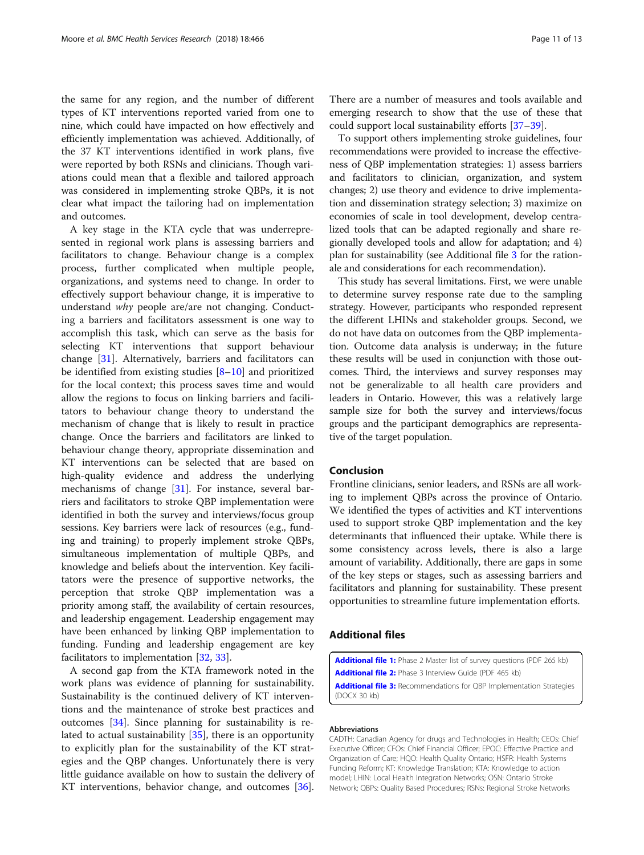<span id="page-10-0"></span>the same for any region, and the number of different types of KT interventions reported varied from one to nine, which could have impacted on how effectively and efficiently implementation was achieved. Additionally, of the 37 KT interventions identified in work plans, five were reported by both RSNs and clinicians. Though variations could mean that a flexible and tailored approach was considered in implementing stroke QBPs, it is not clear what impact the tailoring had on implementation and outcomes.

A key stage in the KTA cycle that was underrepresented in regional work plans is assessing barriers and facilitators to change. Behaviour change is a complex process, further complicated when multiple people, organizations, and systems need to change. In order to effectively support behaviour change, it is imperative to understand why people are/are not changing. Conducting a barriers and facilitators assessment is one way to accomplish this task, which can serve as the basis for selecting KT interventions that support behaviour change [\[31](#page-12-0)]. Alternatively, barriers and facilitators can be identified from existing studies  $[8-10]$  $[8-10]$  $[8-10]$  $[8-10]$  and prioritized for the local context; this process saves time and would allow the regions to focus on linking barriers and facilitators to behaviour change theory to understand the mechanism of change that is likely to result in practice change. Once the barriers and facilitators are linked to behaviour change theory, appropriate dissemination and KT interventions can be selected that are based on high-quality evidence and address the underlying mechanisms of change [[31\]](#page-12-0). For instance, several barriers and facilitators to stroke QBP implementation were identified in both the survey and interviews/focus group sessions. Key barriers were lack of resources (e.g., funding and training) to properly implement stroke QBPs, simultaneous implementation of multiple QBPs, and knowledge and beliefs about the intervention. Key facilitators were the presence of supportive networks, the perception that stroke QBP implementation was a priority among staff, the availability of certain resources, and leadership engagement. Leadership engagement may have been enhanced by linking QBP implementation to funding. Funding and leadership engagement are key facilitators to implementation [\[32](#page-12-0), [33](#page-12-0)].

A second gap from the KTA framework noted in the work plans was evidence of planning for sustainability. Sustainability is the continued delivery of KT interventions and the maintenance of stroke best practices and outcomes [\[34](#page-12-0)]. Since planning for sustainability is related to actual sustainability [[35](#page-12-0)], there is an opportunity to explicitly plan for the sustainability of the KT strategies and the QBP changes. Unfortunately there is very little guidance available on how to sustain the delivery of KT interventions, behavior change, and outcomes [\[36](#page-12-0)].

There are a number of measures and tools available and emerging research to show that the use of these that could support local sustainability efforts [[37](#page-12-0)–[39](#page-12-0)].

To support others implementing stroke guidelines, four recommendations were provided to increase the effectiveness of QBP implementation strategies: 1) assess barriers and facilitators to clinician, organization, and system changes; 2) use theory and evidence to drive implementation and dissemination strategy selection; 3) maximize on economies of scale in tool development, develop centralized tools that can be adapted regionally and share regionally developed tools and allow for adaptation; and 4) plan for sustainability (see Additional file 3 for the rationale and considerations for each recommendation).

This study has several limitations. First, we were unable to determine survey response rate due to the sampling strategy. However, participants who responded represent the different LHINs and stakeholder groups. Second, we do not have data on outcomes from the QBP implementation. Outcome data analysis is underway; in the future these results will be used in conjunction with those outcomes. Third, the interviews and survey responses may not be generalizable to all health care providers and leaders in Ontario. However, this was a relatively large sample size for both the survey and interviews/focus groups and the participant demographics are representative of the target population.

### Conclusion

Frontline clinicians, senior leaders, and RSNs are all working to implement QBPs across the province of Ontario. We identified the types of activities and KT interventions used to support stroke QBP implementation and the key determinants that influenced their uptake. While there is some consistency across levels, there is also a large amount of variability. Additionally, there are gaps in some of the key steps or stages, such as assessing barriers and facilitators and planning for sustainability. These present opportunities to streamline future implementation efforts.

### Additional files

[Additional file 1:](https://doi.org/10.1186/s12913-018-3220-9) Phase 2 Master list of survey questions (PDF 265 kb) [Additional file 2:](https://doi.org/10.1186/s12913-018-3220-9) Phase 3 Interview Guide (PDF 465 kb) [Additional file 3:](https://doi.org/10.1186/s12913-018-3220-9) Recommendations for QBP Implementation Strategies (DOCX 30 kb)

#### Abbreviations

CADTH: Canadian Agency for drugs and Technologies in Health; CEOs: Chief Executive Officer; CFOs: Chief Financial Officer; EPOC: Effective Practice and Organization of Care; HQO: Health Quality Ontario; HSFR: Health Systems Funding Reform; KT: Knowledge Translation; KTA: Knowledge to action model; LHIN: Local Health Integration Networks; OSN: Ontario Stroke Network; QBPs: Quality Based Procedures; RSNs: Regional Stroke Networks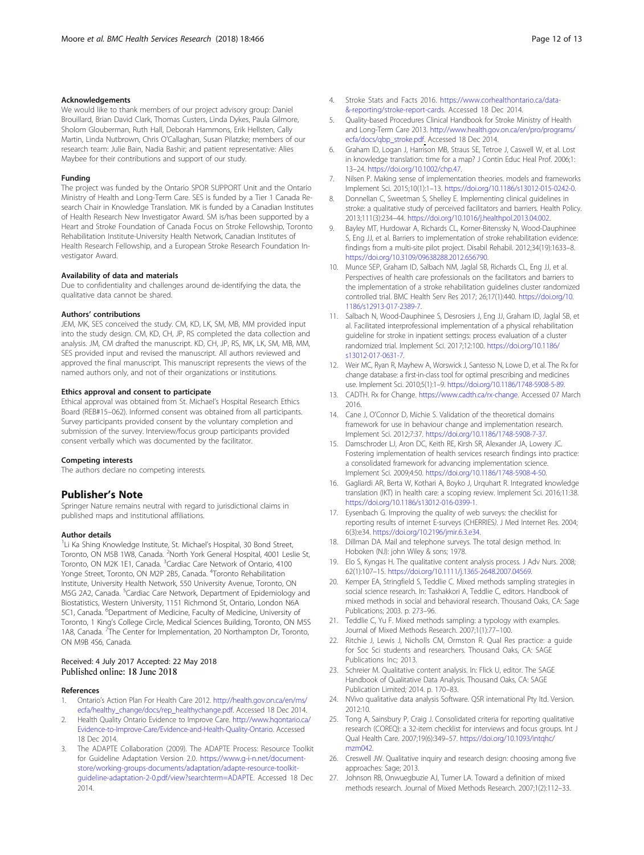#### <span id="page-11-0"></span>Acknowledgements

We would like to thank members of our project advisory group: Daniel Brouillard, Brian David Clark, Thomas Custers, Linda Dykes, Paula Gilmore, Sholom Glouberman, Ruth Hall, Deborah Hammons, Erik Hellsten, Cally Martin, Linda Nutbrown, Chris O'Callaghan, Susan Pilatzke; members of our research team: Julie Bain, Nadia Bashir; and patient representative: Alies Maybee for their contributions and support of our study.

#### Funding

The project was funded by the Ontario SPOR SUPPORT Unit and the Ontario Ministry of Health and Long-Term Care. SES is funded by a Tier 1 Canada Research Chair in Knowledge Translation. MK is funded by a Canadian Institutes of Health Research New Investigator Award. SM is/has been supported by a Heart and Stroke Foundation of Canada Focus on Stroke Fellowship, Toronto Rehabilitation Institute-University Health Network, Canadian Institutes of Health Research Fellowship, and a European Stroke Research Foundation Investigator Award.

#### Availability of data and materials

Due to confidentiality and challenges around de-identifying the data, the qualitative data cannot be shared.

#### Authors' contributions

JEM, MK, SES conceived the study. CM, KD, LK, SM, MB, MM provided input into the study design. CM, KD, CH, JP, RS completed the data collection and analysis. JM, CM drafted the manuscript. KD, CH, JP, RS, MK, LK, SM, MB, MM, SES provided input and revised the manuscript. All authors reviewed and approved the final manuscript. This manuscript represents the views of the named authors only, and not of their organizations or institutions.

#### Ethics approval and consent to participate

Ethical approval was obtained from St. Michael's Hospital Research Ethics Board (REB#15–062). Informed consent was obtained from all participants. Survey participants provided consent by the voluntary completion and submission of the survey. Interview/focus group participants provided consent verbally which was documented by the facilitator.

#### Competing interests

The authors declare no competing interests.

#### Publisher's Note

Springer Nature remains neutral with regard to jurisdictional claims in published maps and institutional affiliations.

#### Author details

<sup>1</sup>Li Ka Shing Knowledge Institute, St. Michael's Hospital, 30 Bond Street, Toronto, ON M5B 1W8, Canada. <sup>2</sup>North York General Hospital, 4001 Leslie St, Toronto, ON M2K 1E1, Canada. <sup>3</sup>Cardiac Care Network of Ontario, 4100 Yonge Street, Toronto, ON M2P 2B5, Canada. <sup>4</sup>Toronto Rehabilitation Institute, University Health Network, 550 University Avenue, Toronto, ON M5G 2A2, Canada. <sup>5</sup>Cardiac Care Network, Department of Epidemiology and Biostatistics, Western University, 1151 Richmond St, Ontario, London N6A 5C1, Canada. <sup>6</sup>Department of Medicine, Faculty of Medicine, University of Toronto, 1 King's College Circle, Medical Sciences Building, Toronto, ON M5S 1A8, Canada. <sup>7</sup>The Center for Implementation, 20 Northampton Dr, Toronto, ON M9B 4S6, Canada.

#### Received: 4 July 2017 Accepted: 22 May 2018 Published online: 18 June 2018

#### References

- 1. Ontario's Action Plan For Health Care 2012. [http://health.gov.on.ca/en/ms/](http://health.gov.on.ca/en/ms/ecfa/healthy_change/docs/rep_healthychange.pdf) [ecfa/healthy\\_change/docs/rep\\_healthychange.pdf](http://health.gov.on.ca/en/ms/ecfa/healthy_change/docs/rep_healthychange.pdf). Accessed 18 Dec 2014.
- 2. Health Quality Ontario Evidence to Improve Care. [http://www.hqontario.ca/](http://www.hqontario.ca/Evidence-to-Improve-Care/Evidence-and-Health-Quality-Ontario) [Evidence-to-Improve-Care/Evidence-and-Health-Quality-Ontario](http://www.hqontario.ca/Evidence-to-Improve-Care/Evidence-and-Health-Quality-Ontario). Accessed 18 Dec 2014.
- The ADAPTE Collaboration (2009). The ADAPTE Process: Resource Toolkit for Guideline Adaptation Version 2.0. [https://www.g-i-n.net/document](https://www.g-i-n.net/document-store/working-groups-documents/adaptation/adapte-resource-toolkit-guideline-adaptation-2-0.pdf/view?searchterm=ADAPTE)[store/working-groups-documents/adaptation/adapte-resource-toolkit](https://www.g-i-n.net/document-store/working-groups-documents/adaptation/adapte-resource-toolkit-guideline-adaptation-2-0.pdf/view?searchterm=ADAPTE)[guideline-adaptation-2-0.pdf/view?searchterm=ADAPTE](https://www.g-i-n.net/document-store/working-groups-documents/adaptation/adapte-resource-toolkit-guideline-adaptation-2-0.pdf/view?searchterm=ADAPTE). Accessed 18 Dec 2014.
- 4. Stroke Stats and Facts 2016. [https://www.corhealthontario.ca/data-](https://www.corhealthontario.ca/data-&-reporting/stroke-report-cards) [&-reporting/stroke-report-cards.](https://www.corhealthontario.ca/data-&-reporting/stroke-report-cards) Accessed 18 Dec 2014.
- 5. Quality-based Procedures Clinical Handbook for Stroke Ministry of Health and Long-Term Care 2013. [http://www.health.gov.on.ca/en/pro/programs/](http://www.health.gov.on.ca/en/pro/programs/ecfa/docs/qbp_stroke.pdf) [ecfa/docs/qbp\\_stroke.pdf](http://www.health.gov.on.ca/en/pro/programs/ecfa/docs/qbp_stroke.pdf). Accessed 18 Dec 2014.
- 6. Graham ID, Logan J, Harrison MB, Straus SE, Tetroe J, Caswell W, et al. Lost in knowledge translation: time for a map? J Contin Educ Heal Prof. 2006;1: 13–24. <https://doi.org/10.1002/chp.47>.
- 7. Nilsen P. Making sense of implementation theories. models and frameworks Implement Sci. 2015;10(1):1–13. <https://doi.org/10.1186/s13012-015-0242-0.>
- 8. Donnellan C, Sweetman S, Shelley E. Implementing clinical guidelines in stroke: a qualitative study of perceived facilitators and barriers. Health Policy. 2013;111(3):234–44. <https://doi.org/10.1016/j.healthpol.2013.04.002>.
- 9. Bayley MT, Hurdowar A, Richards CL, Korner-Bitenssky N, Wood-Dauphinee S, Eng JJ, et al. Barriers to implementation of stroke rehabilitation evidence: findings from a multi-site pilot project. Disabil Rehabil. 2012;34(19):1633–8. [https://doi.org/10.3109/09638288.2012.656790.](https://doi.org/10.3109/09638288.2012.656790)
- 10. Munce SEP, Graham ID, Salbach NM, Jaglal SB, Richards CL, Eng JJ, et al. Perspectives of health care professionals on the facilitators and barriers to the implementation of a stroke rehabilitation guidelines cluster randomized controlled trial. BMC Health Serv Res 2017; 26;17(1):440. [https://doi.org/10.](https://doi.org/10.1186/s12913-017-2389-7) [1186/s12913-017-2389-7](https://doi.org/10.1186/s12913-017-2389-7).
- 11. Salbach N, Wood-Dauphinee S, Desrosiers J, Eng JJ, Graham ID, Jaglal SB, et al. Facilitated interprofessional implementation of a physical rehabilitation guideline for stroke in inpatient settings: process evaluation of a cluster randomized trial. Implement Sci. 2017;12:100. [https://doi.org/10.1186/](https://doi.org/10.1186/s13012-017-0631-7) [s13012-017-0631-7.](https://doi.org/10.1186/s13012-017-0631-7)
- 12. Weir MC, Ryan R, Mayhew A, Worswick J, Santesso N, Lowe D, et al. The Rx for change database: a first-in-class tool for optimal prescribing and medicines use. Implement Sci. 2010;5(1):1–9. <https://doi.org/10.1186/1748-5908-5-89.>
- 13. CADTH. Rx for Change. <https://www.cadth.ca/rx-change>. Accessed 07 March 2016.
- 14. Cane J, O'Connor D, Michie S. Validation of the theoretical domains framework for use in behaviour change and implementation research. Implement Sci. 2012;7:37. [https://doi.org/10.1186/1748-5908-7-37.](https://doi.org/10.1186/1748-5908-7-37)
- 15. Damschroder LJ, Aron DC, Keith RE, Kirsh SR, Alexander JA, Lowery JC. Fostering implementation of health services research findings into practice: a consolidated framework for advancing implementation science. Implement Sci. 2009;4:50. [https://doi.org/10.1186/1748-5908-4-50.](https://doi.org/10.1186/1748-5908-4-50)
- 16. Gagliardi AR, Berta W, Kothari A, Boyko J, Urquhart R. Integrated knowledge translation (IKT) in health care: a scoping review. Implement Sci. 2016;11:38. <https://doi.org/10.1186/s13012-016-0399-1>.
- 17. Eysenbach G. Improving the quality of web surveys: the checklist for reporting results of internet E-surveys (CHERRIES). J Med Internet Res. 2004; 6(3):e34. [https://doi.org/10.2196/jmir.6.3.e34.](https://doi.org/10.2196/jmir.6.3.e34)
- 18. Dillman DA. Mail and telephone surveys. The total design method. In: Hoboken (NJ): john Wiley & sons; 1978.
- 19. Elo S, Kyngas H. The qualitative content analysis process. J Adv Nurs. 2008; 62(1):107–15. <https://doi.org/10.1111/j.1365-2648.2007.04569.>
- 20. Kemper EA, Stringfield S, Teddlie C. Mixed methods sampling strategies in social science research. In: Tashakkori A, Teddlie C, editors. Handbook of mixed methods in social and behavioral research. Thousand Oaks, CA: Sage Publications; 2003. p. 273–96.
- 21. Teddlie C, Yu F. Mixed methods sampling: a typology with examples. Journal of Mixed Methods Research. 2007;1(1):77–100.
- 22. Ritchie J, Lewis J, Nicholls CM, Ormston R. Qual Res practice: a guide for Soc Sci students and researchers. Thousand Oaks, CA: SAGE Publications Inc; 2013.
- 23. Schreier M. Qualitative content analysis. In: Flick U, editor. The SAGE Handbook of Qualitative Data Analysis. Thousand Oaks, CA: SAGE Publication Limited; 2014. p. 170–83.
- 24. NVivo qualitative data analysis Software. QSR international Pty ltd. Version. 2012:10.
- 25. Tong A, Sainsbury P, Craig J. Consolidated criteria for reporting qualitative research (COREQ): a 32-item checklist for interviews and focus groups. Int J Qual Health Care. 2007;19(6):349–57. [https://doi.org/10.1093/intqhc/](https://doi.org/10.1093/intqhc/mzm042) [mzm042](https://doi.org/10.1093/intqhc/mzm042).
- 26. Creswell JW. Qualitative inquiry and research design: choosing among five approaches: Sage; 2013.
- 27. Johnson RB, Onwuegbuzie AJ, Turner LA. Toward a definition of mixed methods research. Journal of Mixed Methods Research. 2007;1(2):112–33.